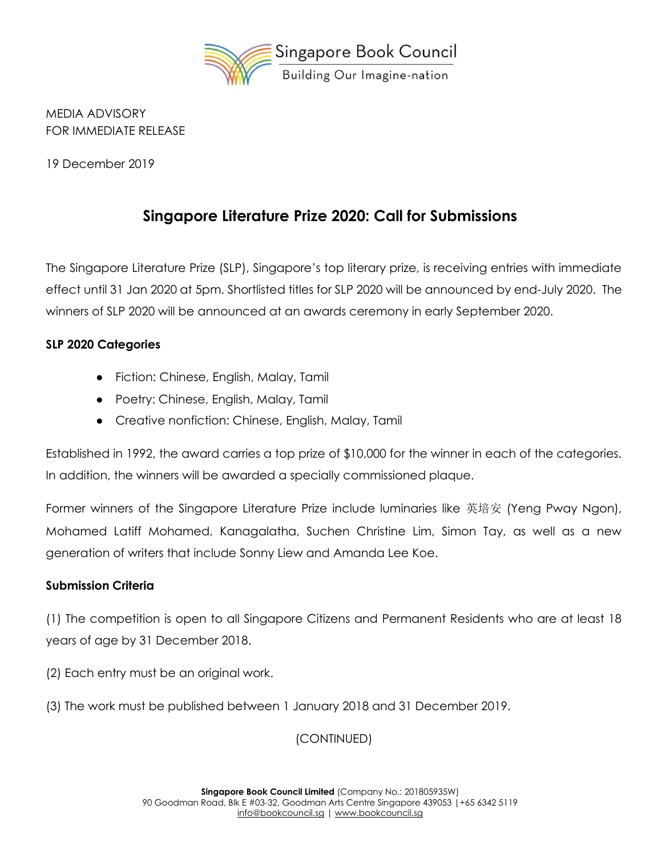

MEDIA ADVISORY FOR IMMEDIATE RELEASE

19 December 2019

## **Singapore Literature Prize 2020: Call for Submissions**

The Singapore Literature Prize (SLP), Singapore's top literary prize, is receiving entries with immediate effect until 31 Jan 2020 at 5pm. Shortlisted titles for SLP 2020 will be announced by end-July 2020. The winners of SLP 2020 will be announced at an awards ceremony in early September 2020.

## **SLP 2020 Categories**

- Fiction: Chinese, English, Malay, Tamil
- Poetry: Chinese, English, Malay, Tamil
- Creative nonfiction: Chinese, English, Malay, Tamil

Established in 1992, the award carries a top prize of \$10,000 for the winner in each of the categories. In addition, the winners will be awarded a specially commissioned plaque.

Former winners of the Singapore Literature Prize include luminaries like 英培安 (Yeng Pway Ngon), Mohamed Latiff Mohamed, Kanagalatha, Suchen Christine Lim, Simon Tay, as well as a new generation of writers that include Sonny Liew and Amanda Lee Koe.

## **Submission Criteria**

(1) The competition is open to all Singapore Citizens and Permanent Residents who are at least 18 years of age by 31 December 2018.

- (2) Each entry must be an original work.
- (3) The work must be published between 1 January 2018 and 31 December 2019.

(CONTINUED)